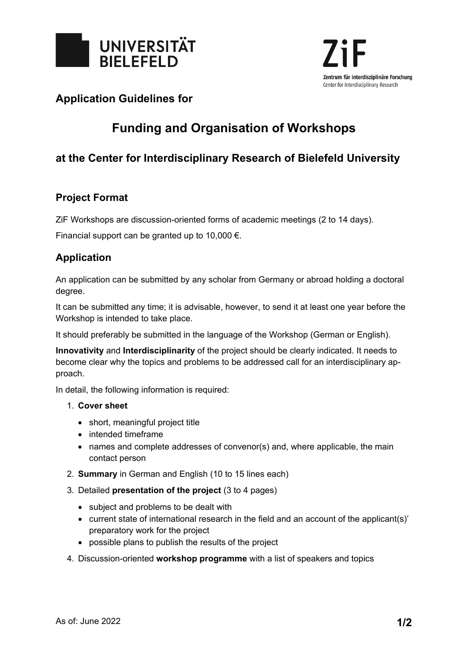

## **Application Guidelines for**

# **Funding and Organisation of Workshops**

# **at the Center for Interdisciplinary Research of Bielefeld University**

### **Project Format**

ZiF Workshops are discussion-oriented forms of academic meetings (2 to 14 days).

Financial support can be granted up to 10,000  $\epsilon$ .

## **Application**

An application can be submitted by any scholar from Germany or abroad holding a doctoral degree.

It can be submitted any time; it is advisable, however, to send it at least one year before the Workshop is intended to take place.

It should preferably be submitted in the language of the Workshop (German or English).

**Innovativity** and **Interdisciplinarity** of the project should be clearly indicated. It needs to become clear why the topics and problems to be addressed call for an interdisciplinary approach.

In detail, the following information is required:

#### 1. **Cover sheet**

- short, meaningful project title
- intended timeframe
- names and complete addresses of convenor(s) and, where applicable, the main contact person
- 2. **Summary** in German and English (10 to 15 lines each)
- 3. Detailed **presentation of the project** (3 to 4 pages)
	- subject and problems to be dealt with
	- current state of international research in the field and an account of the applicant(s)' preparatory work for the project
	- possible plans to publish the results of the project
- 4. Discussion-oriented **workshop programme** with a list of speakers and topics